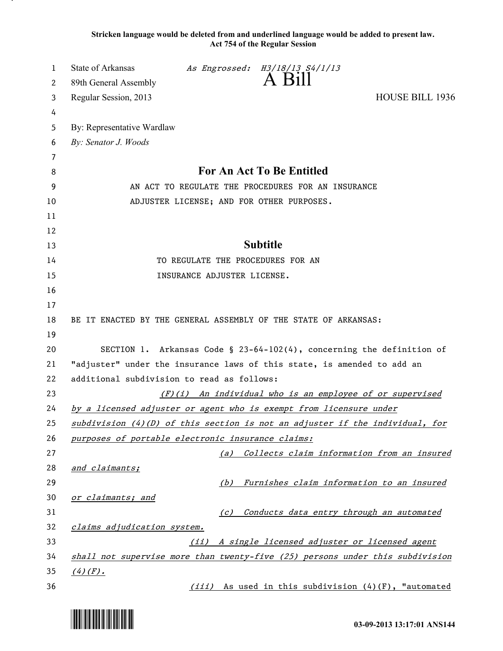**Stricken language would be deleted from and underlined language would be added to present law. Act 754 of the Regular Session**

| 1        | State of Arkansas<br>As Engrossed: H3/18/13 S4/1/13                                                                                                  |  |
|----------|------------------------------------------------------------------------------------------------------------------------------------------------------|--|
| 2        | A Bill<br>89th General Assembly                                                                                                                      |  |
| 3        | <b>HOUSE BILL 1936</b><br>Regular Session, 2013                                                                                                      |  |
| 4        |                                                                                                                                                      |  |
| 5        | By: Representative Wardlaw                                                                                                                           |  |
| 6        | By: Senator J. Woods                                                                                                                                 |  |
| 7        |                                                                                                                                                      |  |
| 8        | For An Act To Be Entitled                                                                                                                            |  |
| 9        | AN ACT TO REGULATE THE PROCEDURES FOR AN INSURANCE                                                                                                   |  |
| 10       | ADJUSTER LICENSE; AND FOR OTHER PURPOSES.                                                                                                            |  |
| 11       |                                                                                                                                                      |  |
| 12       |                                                                                                                                                      |  |
| 13       | <b>Subtitle</b>                                                                                                                                      |  |
| 14       | TO REGULATE THE PROCEDURES FOR AN                                                                                                                    |  |
| 15       | INSURANCE ADJUSTER LICENSE.                                                                                                                          |  |
| 16       |                                                                                                                                                      |  |
| 17       |                                                                                                                                                      |  |
| 18       | BE IT ENACTED BY THE GENERAL ASSEMBLY OF THE STATE OF ARKANSAS:                                                                                      |  |
| 19       |                                                                                                                                                      |  |
| 20       | SECTION 1. Arkansas Code § 23-64-102(4), concerning the definition of                                                                                |  |
| 21       | "adjuster" under the insurance laws of this state, is amended to add an                                                                              |  |
| 22       | additional subdivision to read as follows:                                                                                                           |  |
| 23<br>24 | (F)(i) An individual who is an employee of or supervised                                                                                             |  |
| 25       | by a licensed adjuster or agent who is exempt from licensure under<br>$subdivision (4)(D)$ of this section is not an adjuster if the individual, for |  |
| 26       | purposes of portable electronic insurance claims:                                                                                                    |  |
| 27       | Collects claim information from an insured<br>(a)                                                                                                    |  |
| 28       | and claimants;                                                                                                                                       |  |
| 29       | Furnishes claim information to an insured<br>(b)                                                                                                     |  |
| 30       | or claimants; and                                                                                                                                    |  |
| 31       | Conducts data entry through an automated<br>(c)                                                                                                      |  |
| 32       | claims adjudication system.                                                                                                                          |  |
| 33       | A single licensed adjuster or licensed agent<br>(iii)                                                                                                |  |
| 34       | shall not supervise more than twenty-five (25) persons under this subdivision                                                                        |  |
| 35       | $(4)$ (F).                                                                                                                                           |  |
| 36       | (iii) As used in this subdivision (4)(F), "automated                                                                                                 |  |